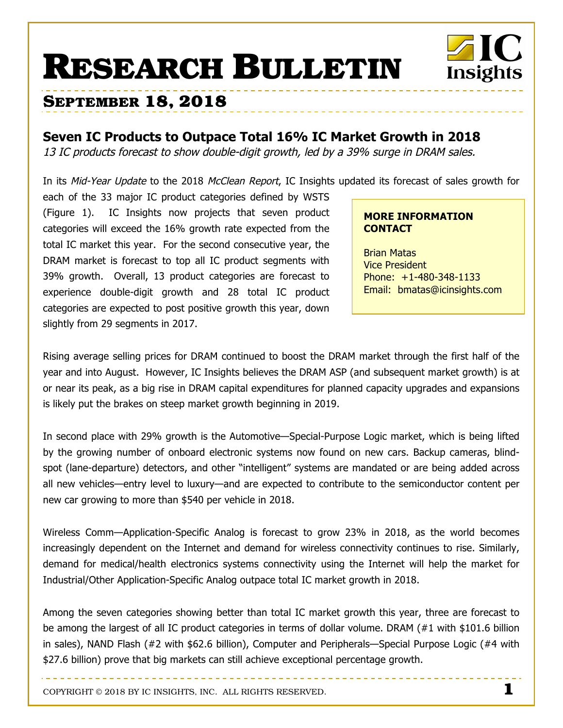# **RESEARCH BULLETIN**



## **Seven IC Products to Outpace Total 16% IC Market Growth in 2018**

13 IC products forecast to show double-digit growth, led by a 39% surge in DRAM sales.

In its Mid-Year Update to the 2018 McClean Report, IC Insights updated its forecast of sales growth for

each of the 33 major IC product categories defined by WSTS (Figure 1). IC Insights now projects that seven product categories will exceed the 16% growth rate expected from the total IC market this year. For the second consecutive year, the DRAM market is forecast to top all IC product segments with 39% growth. Overall, 13 product categories are forecast to experience double-digit growth and 28 total IC product categories are expected to post positive growth this year, down slightly from 29 segments in 2017.

#### **MORE INFORMATION CONTACT**

Brian Matas Vice President Phone: +1-480-348-1133 Email: bmatas@icinsights.com

Insights

Rising average selling prices for DRAM continued to boost the DRAM market through the first half of the year and into August. However, IC Insights believes the DRAM ASP (and subsequent market growth) is at or near its peak, as a big rise in DRAM capital expenditures for planned capacity upgrades and expansions is likely put the brakes on steep market growth beginning in 2019.

In second place with 29% growth is the Automotive—Special-Purpose Logic market, which is being lifted by the growing number of onboard electronic systems now found on new cars. Backup cameras, blindspot (lane-departure) detectors, and other "intelligent" systems are mandated or are being added across all new vehicles—entry level to luxury—and are expected to contribute to the semiconductor content per new car growing to more than \$540 per vehicle in 2018.

Wireless Comm—Application-Specific Analog is forecast to grow 23% in 2018, as the world becomes increasingly dependent on the Internet and demand for wireless connectivity continues to rise. Similarly, demand for medical/health electronics systems connectivity using the Internet will help the market for Industrial/Other Application-Specific Analog outpace total IC market growth in 2018.

Among the seven categories showing better than total IC market growth this year, three are forecast to be among the largest of all IC product categories in terms of dollar volume. DRAM (#1 with \$101.6 billion in sales), NAND Flash (#2 with \$62.6 billion), Computer and Peripherals—Special Purpose Logic (#4 with \$27.6 billion) prove that big markets can still achieve exceptional percentage growth.

COPYRIGHT © 2018 BY IC INSIGHTS, INC. ALL RIGHTS RESERVED. **1**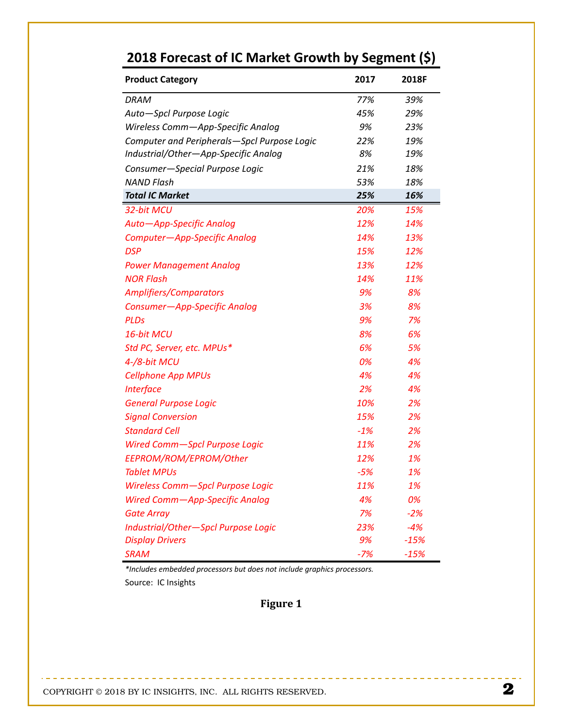| <b>Product Category</b>                     | 2017  | 2018F  |
|---------------------------------------------|-------|--------|
| <b>DRAM</b>                                 | 77%   | 39%    |
| Auto-Spcl Purpose Logic                     | 45%   | 29%    |
| Wireless Comm-App-Specific Analog           | 9%    | 23%    |
| Computer and Peripherals-Spcl Purpose Logic | 22%   | 19%    |
| Industrial/Other—App-Specific Analog        | 8%    | 19%    |
| Consumer-Special Purpose Logic              | 21%   | 18%    |
| <b>NAND Flash</b>                           | 53%   | 18%    |
| <b>Total IC Market</b>                      | 25%   | 16%    |
| 32-bit MCU                                  | 20%   | 15%    |
| Auto-App-Specific Analog                    | 12%   | 14%    |
| Computer-App-Specific Analog                | 14%   | 13%    |
| <b>DSP</b>                                  | 15%   | 12%    |
| <b>Power Management Analog</b>              | 13%   | 12%    |
| <b>NOR Flash</b>                            | 14%   | 11%    |
| <b>Amplifiers/Comparators</b>               | 9%    | 8%     |
| Consumer-App-Specific Analog                | 3%    | 8%     |
| <b>PLDs</b>                                 | 9%    | 7%     |
| 16-bit MCU                                  | 8%    | 6%     |
| Std PC, Server, etc. MPUs*                  | 6%    | 5%     |
| 4-/8-bit MCU                                | 0%    | 4%     |
| <b>Cellphone App MPUs</b>                   | 4%    | 4%     |
| <b>Interface</b>                            | 2%    | 4%     |
| <b>General Purpose Logic</b>                | 10%   | 2%     |
| <b>Signal Conversion</b>                    | 15%   | 2%     |
| <b>Standard Cell</b>                        | $-1%$ | 2%     |
| <b>Wired Comm-Spcl Purpose Logic</b>        | 11%   | 2%     |
| EEPROM/ROM/EPROM/Other                      | 12%   | 1%     |
| <b>Tablet MPUs</b>                          | $-5%$ | 1%     |
| Wireless Comm-Spcl Purpose Logic            | 11%   | 1%     |
| Wired Comm-App-Specific Analog              | 4%    | 0%     |
| <b>Gate Array</b>                           | 7%    | $-2%$  |
| Industrial/Other-Spcl Purpose Logic         | 23%   | $-4%$  |
| <b>Display Drivers</b>                      | 9%    | $-15%$ |
| <b>SRAM</b>                                 | $-7%$ | $-15%$ |

## 2018 Forecast of IC Market Growth by Segment (\$)

\*Includes embedded processors but does not include graphics processors. Source: IC Insights

----------------------------

## Figure 1